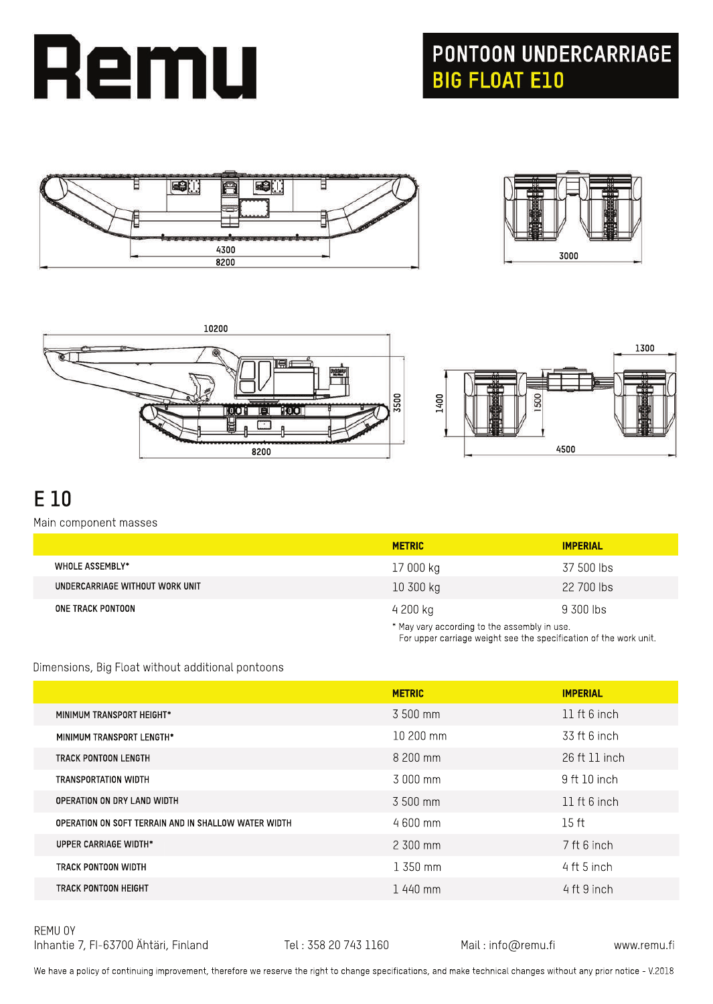

## **PONTOON UNDERCARRIAGE<br>BIG FLOAT E10**









For upper carriage weight see the specification of the work unit.

## **E10**

Main component masses

|                                 | <b>METRIC</b> | <b>IMPERIAL</b>                              |  |
|---------------------------------|---------------|----------------------------------------------|--|
| <b>WHOLE ASSEMBLY*</b>          | 17 000 kg     | 37 500 lbs                                   |  |
| UNDERCARRIAGE WITHOUT WORK UNIT | 10300 kg      | 22 700 lbs                                   |  |
| ONE TRACK PONTOON               | 4 200 kg      | 9 300 lbs                                    |  |
|                                 |               | * May vary according to the assembly in use. |  |

Dimensions, Big Float without additional pontoons

|                                                      | <b>METRIC</b> | <b>IMPERIAL</b>  |
|------------------------------------------------------|---------------|------------------|
| MINIMUM TRANSPORT HEIGHT*                            | 3 500 mm      | 11 ft $6$ inch   |
| MINIMUM TRANSPORT LENGTH*                            | $10200$ mm    | 33 ft 6 inch     |
| TRACK PONTOON LENGTH                                 | 8 200 mm      | 26 ft 11 inch    |
| TRANSPORTATION WIDTH                                 | 3.000 mm      | 9 ft 10 inch     |
| OPERATION ON DRY LAND WIDTH                          | 3 500 mm      | 11 ft 6 inch     |
| OPERATION ON SOFT TERRAIN AND IN SHALLOW WATER WIDTH | $4600$ mm     | 15 <sub>ft</sub> |
| UPPER CARRIAGE WIDTH*                                | $2,300$ mm    | 7 ft 6 inch      |
| TRACK PONTOON WIDTH                                  | $1,350$ mm    | 4 ft 5 inch      |
| TRACK PONTOON HEIGHT                                 | 1440 mm       | 4 ft 9 inch      |

REMU OY Inhantie 7, FI-63700 Ähtäri, Finland Tel: 358 20 743 1160 Mail: info@remu.fi www.remu.fi

We have a policy of continuing improvement, therefore we reserve the right to change specifications, and make technical changes without any prior notice - V.2018